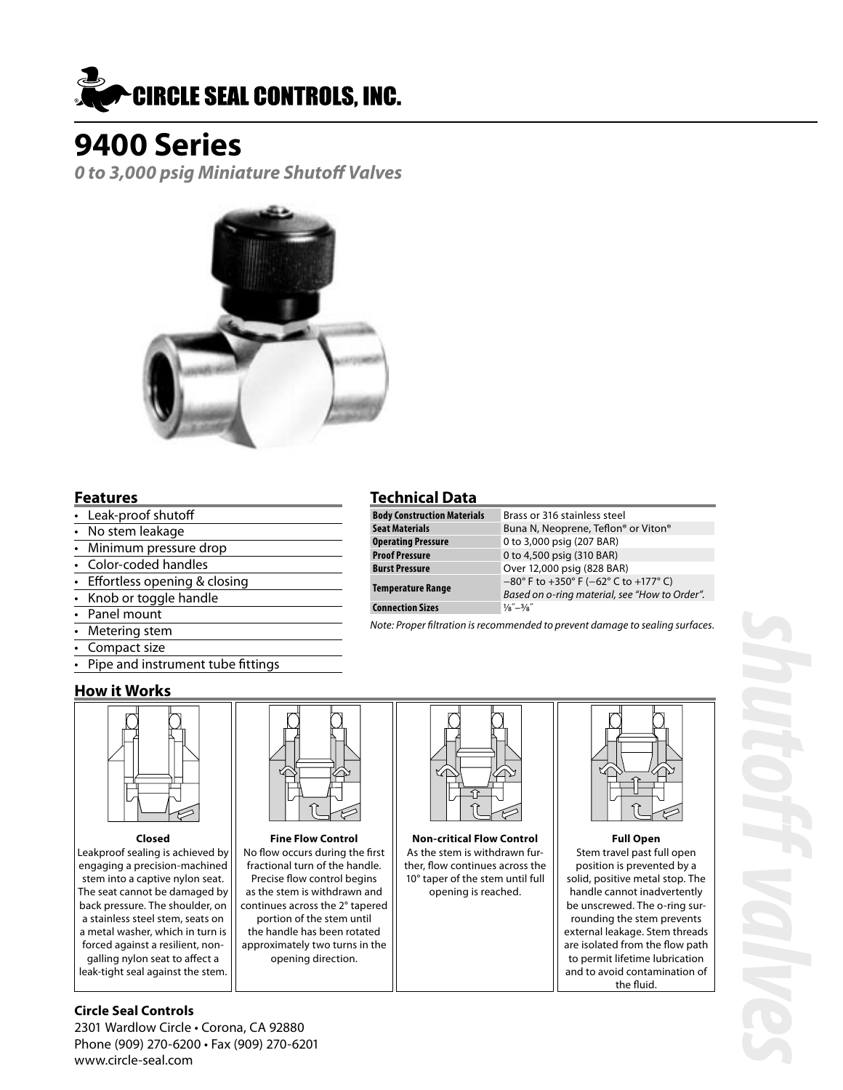

**0 to 3,000 psig Miniature Shutoff Valves**



### **Features**

- Leak-proof shutoff
- No stem leakage
- Minimum pressure drop
- Color-coded handles
- Effortless opening & closing
- Knob or toggle handle
- Panel mount
- Metering stem
- Compact size
- Pipe and instrument tube fittings

### **How it Works**



Leakproof sealing is achieved by engaging a precision-machined stem into a captive nylon seat. The seat cannot be damaged by back pressure. The shoulder, on a stainless steel stem, seats on a metal washer, which in turn is forced against a resilient, nongalling nylon seat to affect a

leak-tight seal against the stem.

#### No flow occurs during the first fractional turn of the handle. Precise flow control begins as the stem is withdrawn and continues across the 2° tapered portion of the stem until the handle has been rotated approximately two turns in the opening direction.



**Closed Fine Flow Control Non-critical Flow Control Full Open** As the stem is withdrawn fur ther, flow continues across the 10° taper of the stem until full opening is reached.



Stem travel past full open position is prevented by a solid, positive metal stop. The handle cannot inadvertently be unscrewed. The o-ring sur rounding the stem prevents external leakage. Stem threads are isolated from the flow path to permit lifetime lubrication and to avoid contamination of the fluid.

### **Circle Seal Controls**

2301 Wardlow Circle • Corona, CA 92880 Phone (909) 270-6200 • Fax (909) 270-6201 www.circle-seal.com

### **Technical Data**

| <b>Body Construction Materials</b> | Brass or 316 stainless steel                                               |
|------------------------------------|----------------------------------------------------------------------------|
| <b>Seat Materials</b>              | Buna N, Neoprene, Teflon® or Viton®                                        |
| <b>Operating Pressure</b>          | 0 to 3,000 psig (207 BAR)                                                  |
| <b>Proof Pressure</b>              | 0 to 4,500 psig (310 BAR)                                                  |
| <b>Burst Pressure</b>              | Over 12,000 psig (828 BAR)                                                 |
| <b>Temperature Range</b>           | $-80^{\circ}$ F to $+350^{\circ}$ F ( $-62^{\circ}$ C to $+177^{\circ}$ C) |
|                                    | Based on o-ring material, see "How to Order".                              |
| <b>Connection Sizes</b>            | $\frac{1}{8}$ – $\frac{3}{8}$                                              |

Note: Proper filtration is recommended to prevent damage to sealing surfaces.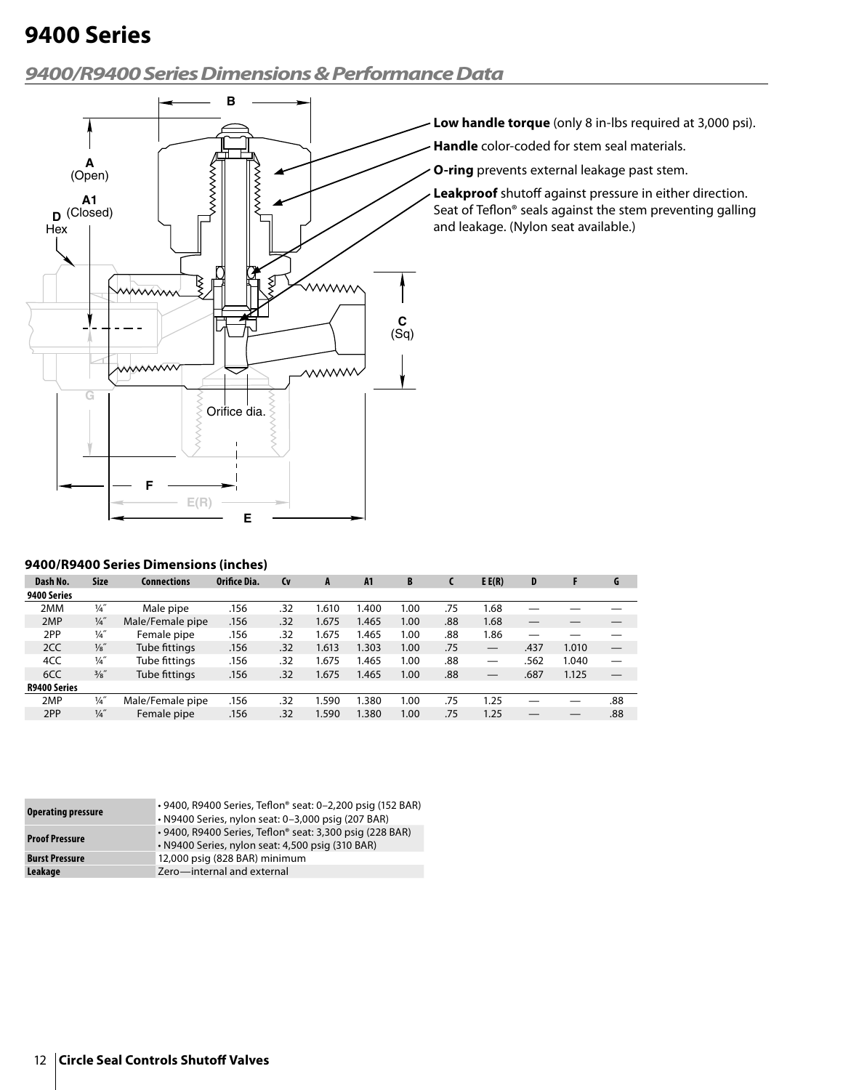### **9400/R9400 Series Dimensions & Performance Data**



- **Low handle torque** (only 8 in-lbs required at 3,000 psi).
- **Handle** color-coded for stem seal materials.
- **O-ring** prevents external leakage past stem.

**Leakproof** shutoff against pressure in either direction. Seat of Teflon® seals against the stem preventing galling and leakage. (Nylon seat available.)

#### **9400/R9400 Series Dimensions (inches)**

| Dash No.            | <b>Size</b>     | Connections      | Orifice Dia. | <b>Cv</b> | A     | A <sub>1</sub> | B    |     | E E(R) | D    |       | G   |
|---------------------|-----------------|------------------|--------------|-----------|-------|----------------|------|-----|--------|------|-------|-----|
| 9400 Series         |                 |                  |              |           |       |                |      |     |        |      |       |     |
| 2MM                 | $\frac{1}{4}$   | Male pipe        | .156         | .32       | 1.610 | 1.400          | 1.00 | .75 | .68    |      |       |     |
| 2MP                 | $\frac{1}{4}$   | Male/Female pipe | .156         | .32       | 1.675 | 1.465          | 1.00 | .88 | 1.68   |      |       |     |
| 2PP                 | $\frac{1}{4}$   | Female pipe      | .156         | .32       | 1.675 | 1.465          | 1.00 | .88 | l.86   |      |       |     |
| 2CC                 | $\frac{1}{8}$ " | Tube fittings    | .156         | .32       | 1.613 | 1.303          | 1.00 | .75 |        | .437 | 1.010 |     |
| 4CC                 | $\frac{1}{4}$   | Tube fittings    | .156         | .32       | 1.675 | 1.465          | 1.00 | .88 |        | .562 | 1.040 |     |
| 6CC                 | 3/8"            | Tube fittings    | .156         | .32       | 1.675 | 1.465          | 1.00 | .88 |        | .687 | 1.125 |     |
| <b>R9400 Series</b> |                 |                  |              |           |       |                |      |     |        |      |       |     |
| 2MP                 | $\frac{1}{4}$   | Male/Female pipe | .156         | .32       | 1.590 | 1.380          | 1.00 | .75 | 1.25   |      |       | .88 |
| 2PP                 | $\frac{1}{4}$   | Female pipe      | .156         | .32       | 1.590 | 1.380          | 1.00 | .75 | 1.25   |      |       | .88 |

| <b>Operating pressure</b> | • 9400, R9400 Series, Teflon® seat: 0-2,200 psig (152 BAR)<br>• N9400 Series, nylon seat: 0-3,000 psig (207 BAR) |
|---------------------------|------------------------------------------------------------------------------------------------------------------|
| <b>Proof Pressure</b>     | • 9400, R9400 Series, Teflon® seat: 3,300 psig (228 BAR)<br>• N9400 Series, nylon seat: 4,500 psig (310 BAR)     |
| <b>Burst Pressure</b>     | 12,000 psig (828 BAR) minimum                                                                                    |
| Leakage                   | Zero-internal and external                                                                                       |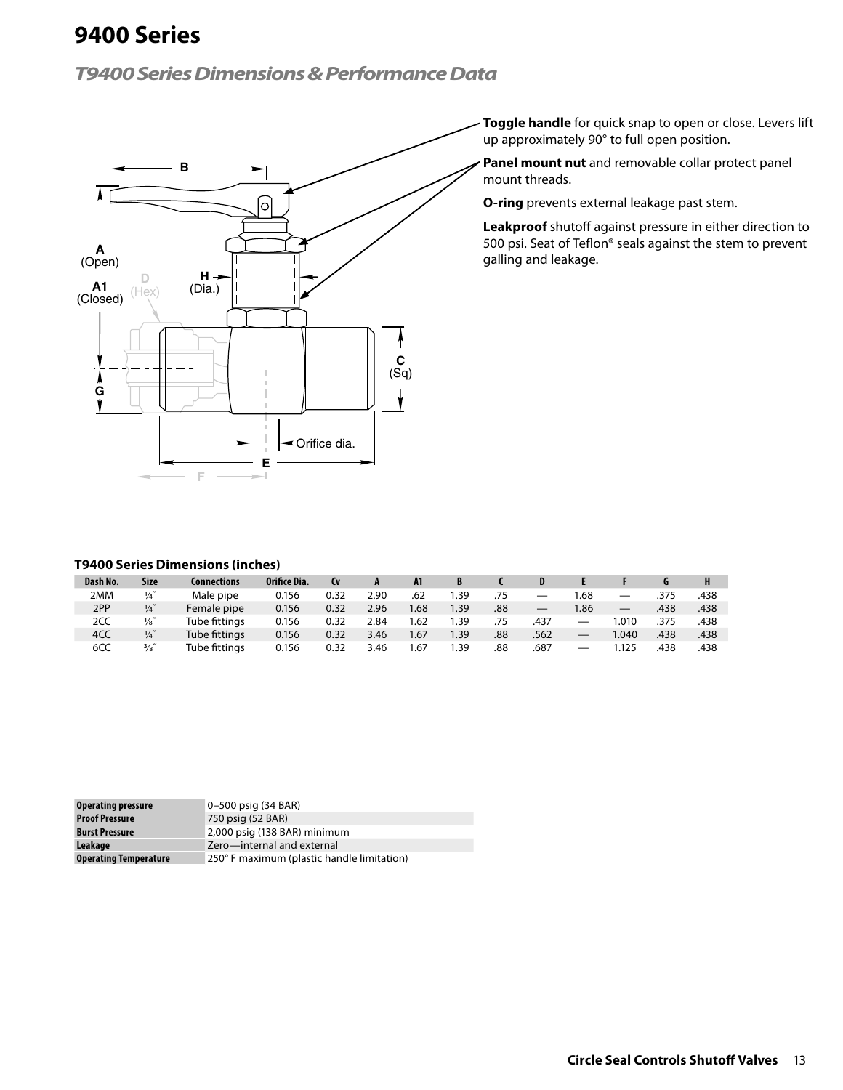## **T9400 Series Dimensions & Performance Data**



**Toggle handle** for quick snap to open or close. Levers lift up approximately 90° to full open position.

**Panel mount nut** and removable collar protect panel mount threads.

**O-ring** prevents external leakage past stem.

**Leakproof** shutoff against pressure in either direction to 500 psi. Seat of Teflon® seals against the stem to prevent galling and leakage.

### **T9400 Series Dimensions (inches)**

| Dash No. | <b>Size</b>     | Connections   | Orifice Dia. | <b>Cv</b> |      | A1   |                  |     |                   |                                |                   |      |      |
|----------|-----------------|---------------|--------------|-----------|------|------|------------------|-----|-------------------|--------------------------------|-------------------|------|------|
| 2MM      | $\frac{1}{4}$   | Male pipe     | 0.156        | 0.32      | 2.90 | .62  | .39              | .75 | $\hspace{0.05cm}$ | 1.68                           | $\hspace{0.05cm}$ | .375 | .438 |
| 2PP      | $\frac{1}{4}$   | Female pipe   | 0.156        | 0.32      | 2.96 | 1.68 | .39 <sub>1</sub> | .88 | $\hspace{0.05cm}$ | .86                            |                   | .438 | .438 |
| 2CC      | $\frac{1}{8}$   | Tube fittings | 0.156        | 0.32      | 2.84 | 1.62 | .39              | .75 | .437              | $\qquad \qquad \longleftarrow$ | .010              | .375 | .438 |
| 4CC      | $\frac{1}{4}$   | Tube fittings | 0.156        | 0.32      | 3.46 | 1.67 | .39              | .88 | .562              |                                | 1.040             | .438 | .438 |
| 6CC      | $\frac{3}{8}$ " | Tube fittings | 0.156        | 0.32      | 3.46 | 1.67 | .39              | .88 | .687              | —                              | .125              | .438 | .438 |

| <b>Operating pressure</b>    | 0-500 psig (34 BAR)                        |
|------------------------------|--------------------------------------------|
| <b>Proof Pressure</b>        | 750 psig (52 BAR)                          |
| <b>Burst Pressure</b>        | 2,000 psig (138 BAR) minimum               |
| Leakage                      | Zero-internal and external                 |
| <b>Operating Temperature</b> | 250° F maximum (plastic handle limitation) |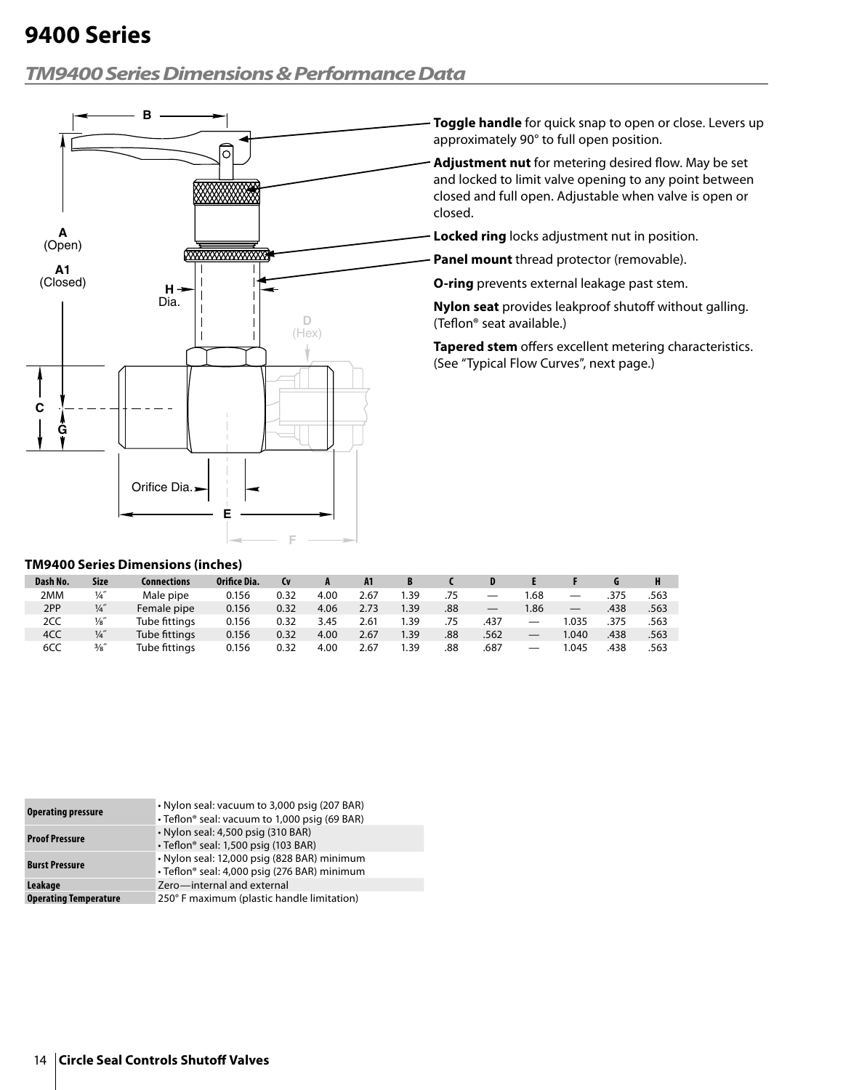### **TM9400 Series Dimensions & Performance Data**



**Toggle handle** for quick snap to open or close. Levers up approximately 90° to full open position.

**Adjustment nut** for metering desired flow. May be set and locked to limit valve opening to any point between closed and full open. Adjustable when valve is open or closed.

**Locked ring** locks adjustment nut in position.

**Panel mount** thread protector (removable).

**O-ring** prevents external leakage past stem.

**Nylon seat** provides leakproof shutoff without galling. (Teflon® seat available.)

**Tapered stem** offers excellent metering characteristics. (See "Typical Flow Curves", next page.)

#### **TM9400 Series Dimensions (inches)**

| Dash No. | <b>Size</b>     | Connections   | Orifice Dia. | <b>Cv</b> |      | A <sub>1</sub> |      |     |      |                   |       |      |      |
|----------|-----------------|---------------|--------------|-----------|------|----------------|------|-----|------|-------------------|-------|------|------|
| 2MM      | $\frac{1}{4}$   | Male pipe     | 0.156        | 0.32      | 4.00 | 2.67           | 39.، | .75 |      | .68               |       | .375 | .563 |
| 2PP      | $\frac{1}{4}$   | Female pipe   | 0.156        | 0.32      | 4.06 | 2.73           | 1.39 | .88 |      | .86               |       | .438 | .563 |
| 2CC      | $\frac{1}{8}$   | Tube fittings | 0.156        | 0.32      | 3.45 | 2.61           | .39  | .75 | .437 |                   | 1.035 | .375 | .563 |
| 4CC      | $\frac{1}{4}$   | Tube fittings | 0.156        | 0.32      | 4.00 | 2.67           | 1.39 | .88 | .562 |                   | 1.040 | .438 | .563 |
| 6CC      | $\frac{3}{8}$ " | Tube fittings | 0.156        | 0.32      | 4.00 | 2.67           | . 39 | .88 | .687 | $\hspace{0.05cm}$ | .045  | .438 | .563 |

| <b>Operating pressure</b>    | • Nylon seal: vacuum to 3,000 psig (207 BAR)<br>• Teflon® seal: vacuum to 1,000 psig (69 BAR) |
|------------------------------|-----------------------------------------------------------------------------------------------|
| <b>Proof Pressure</b>        | • Nylon seal: 4,500 psig (310 BAR)<br>· Teflon® seal: 1,500 psig (103 BAR)                    |
| <b>Burst Pressure</b>        | · Nylon seal: 12,000 psig (828 BAR) minimum<br>· Teflon® seal: 4,000 psig (276 BAR) minimum   |
| Leakage                      | Zero-internal and external                                                                    |
| <b>Operating Temperature</b> | 250° F maximum (plastic handle limitation)                                                    |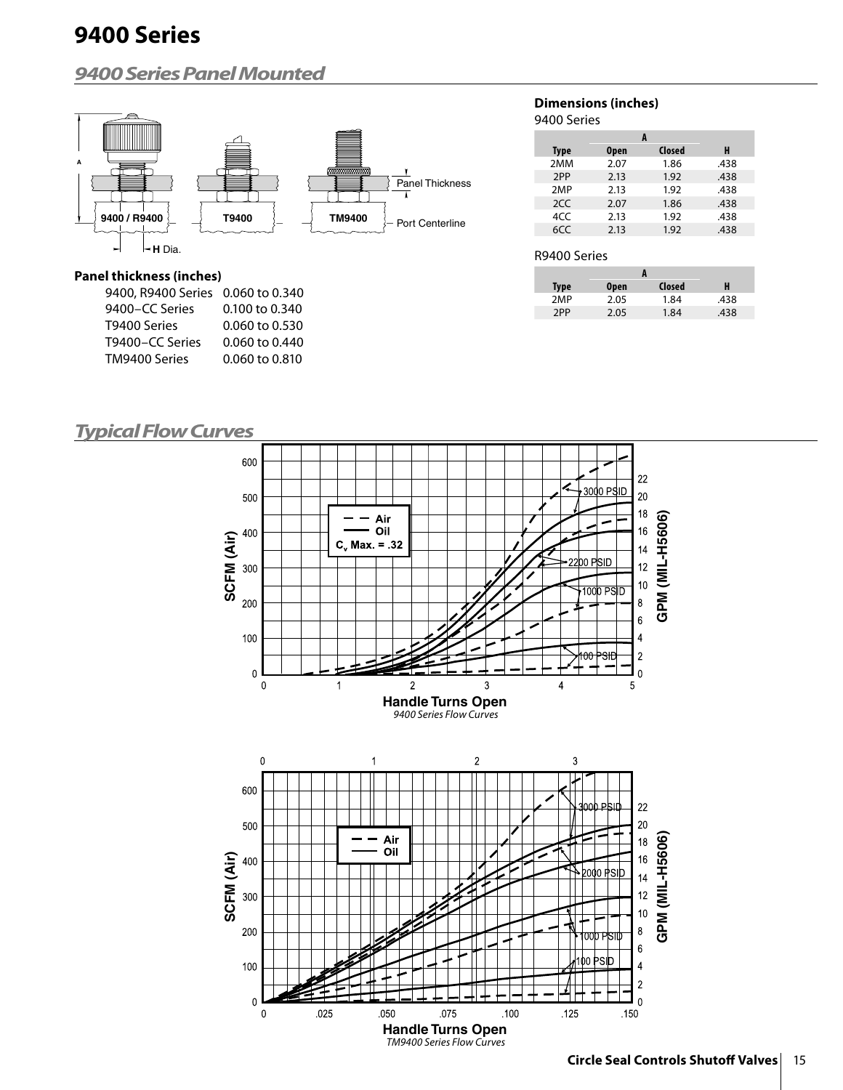### **9400 Series Panel Mounted**



### **Panel thickness (inches)**

| 9400, R9400 Series 0.060 to 0.340 |                |
|-----------------------------------|----------------|
| 9400-CC Series                    | 0.100 to 0.340 |
| T9400 Series                      | 0.060 to 0.530 |
| T9400-CC Series                   | 0.060 to 0.440 |
| TM9400 Series                     | 0.060 to 0.810 |
|                                   |                |

#### **Dimensions (inches)** 9400 Series

| Type | <b>Open</b> | Closed | н    |
|------|-------------|--------|------|
| 2MM  | 2.07        | 1.86   | .438 |
| 2PP  | 2.13        | 1.92   | .438 |
| 2MP  | 2.13        | 1.92   | .438 |
| 2CC  | 2.07        | 1.86   | .438 |
| 4CC  | 2.13        | 1.92   | .438 |
| 6CC  | 2.13        | 1.92   | .438 |

#### R9400 Series

| Type | <b>Open</b> | Closed | н    |
|------|-------------|--------|------|
| 2MP  | 2.05        | 1.84   | .438 |
| 2PP  | 2.05        | 1.84   | .438 |

### **Typical Flow Curves**